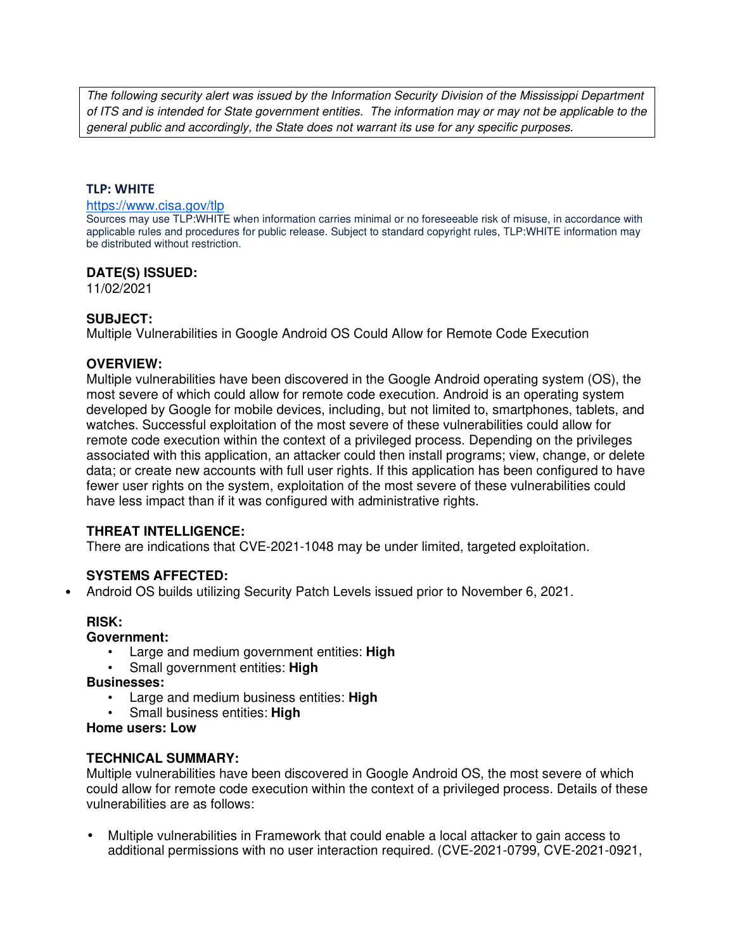The following security alert was issued by the Information Security Division of the Mississippi Department of ITS and is intended for State government entities. The information may or may not be applicable to the general public and accordingly, the State does not warrant its use for any specific purposes.

### **TLP: WHITE**

#### https://www.cisa.gov/tlp

Sources may use TLP:WHITE when information carries minimal or no foreseeable risk of misuse, in accordance with applicable rules and procedures for public release. Subject to standard copyright rules, TLP:WHITE information may be distributed without restriction.

## **DATE(S) ISSUED:**

11/02/2021

# **SUBJECT:**

Multiple Vulnerabilities in Google Android OS Could Allow for Remote Code Execution

## **OVERVIEW:**

Multiple vulnerabilities have been discovered in the Google Android operating system (OS), the most severe of which could allow for remote code execution. Android is an operating system developed by Google for mobile devices, including, but not limited to, smartphones, tablets, and watches. Successful exploitation of the most severe of these vulnerabilities could allow for remote code execution within the context of a privileged process. Depending on the privileges associated with this application, an attacker could then install programs; view, change, or delete data; or create new accounts with full user rights. If this application has been configured to have fewer user rights on the system, exploitation of the most severe of these vulnerabilities could have less impact than if it was configured with administrative rights.

# **THREAT INTELLIGENCE:**

There are indications that CVE-2021-1048 may be under limited, targeted exploitation.

# **SYSTEMS AFFECTED:**

• Android OS builds utilizing Security Patch Levels issued prior to November 6, 2021.

# **RISK:**

#### **Government:**

- Large and medium government entities: **High**
- Small government entities: **High**

#### **Businesses:**

- Large and medium business entities: **High**
- Small business entities: **High**

#### **Home users: Low**

# **TECHNICAL SUMMARY:**

Multiple vulnerabilities have been discovered in Google Android OS, the most severe of which could allow for remote code execution within the context of a privileged process. Details of these vulnerabilities are as follows:

• Multiple vulnerabilities in Framework that could enable a local attacker to gain access to additional permissions with no user interaction required. (CVE-2021-0799, CVE-2021-0921,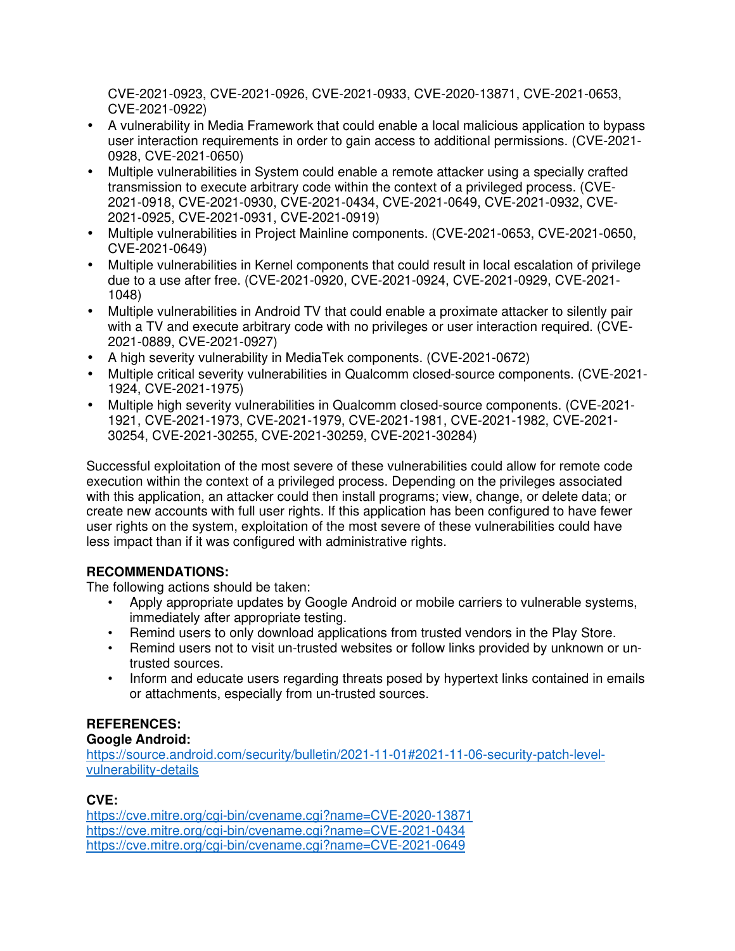CVE-2021-0923, CVE-2021-0926, CVE-2021-0933, CVE-2020-13871, CVE-2021-0653, CVE-2021-0922)

- A vulnerability in Media Framework that could enable a local malicious application to bypass user interaction requirements in order to gain access to additional permissions. (CVE-2021- 0928, CVE-2021-0650)
- Multiple vulnerabilities in System could enable a remote attacker using a specially crafted transmission to execute arbitrary code within the context of a privileged process. (CVE-2021-0918, CVE-2021-0930, CVE-2021-0434, CVE-2021-0649, CVE-2021-0932, CVE-2021-0925, CVE-2021-0931, CVE-2021-0919)
- Multiple vulnerabilities in Project Mainline components. (CVE-2021-0653, CVE-2021-0650, CVE-2021-0649)
- Multiple vulnerabilities in Kernel components that could result in local escalation of privilege due to a use after free. (CVE-2021-0920, CVE-2021-0924, CVE-2021-0929, CVE-2021- 1048)
- Multiple vulnerabilities in Android TV that could enable a proximate attacker to silently pair with a TV and execute arbitrary code with no privileges or user interaction required. (CVE-2021-0889, CVE-2021-0927)
- A high severity vulnerability in MediaTek components. (CVE-2021-0672)
- Multiple critical severity vulnerabilities in Qualcomm closed-source components. (CVE-2021- 1924, CVE-2021-1975)
- Multiple high severity vulnerabilities in Qualcomm closed-source components. (CVE-2021- 1921, CVE-2021-1973, CVE-2021-1979, CVE-2021-1981, CVE-2021-1982, CVE-2021- 30254, CVE-2021-30255, CVE-2021-30259, CVE-2021-30284)

Successful exploitation of the most severe of these vulnerabilities could allow for remote code execution within the context of a privileged process. Depending on the privileges associated with this application, an attacker could then install programs; view, change, or delete data; or create new accounts with full user rights. If this application has been configured to have fewer user rights on the system, exploitation of the most severe of these vulnerabilities could have less impact than if it was configured with administrative rights.

# **RECOMMENDATIONS:**

The following actions should be taken:

- Apply appropriate updates by Google Android or mobile carriers to vulnerable systems, immediately after appropriate testing.
- Remind users to only download applications from trusted vendors in the Play Store.
- Remind users not to visit un-trusted websites or follow links provided by unknown or untrusted sources.
- Inform and educate users regarding threats posed by hypertext links contained in emails or attachments, especially from un-trusted sources.

# **REFERENCES:**

# **Google Android:**

https://source.android.com/security/bulletin/2021-11-01#2021-11-06-security-patch-levelvulnerability-details

# **CVE:**

https://cve.mitre.org/cgi-bin/cvename.cgi?name=CVE-2020-13871 https://cve.mitre.org/cgi-bin/cvename.cgi?name=CVE-2021-0434 https://cve.mitre.org/cgi-bin/cvename.cgi?name=CVE-2021-0649